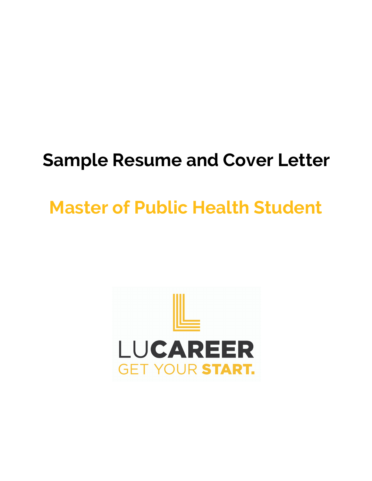# **Sample Resume and Cover Letter**

# **Master of Public Health Student**

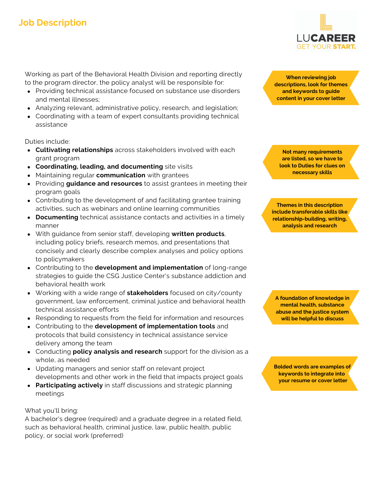### **Job Description**

Working as part of the Behavioral Health Division and reporting directly to the program director, the policy analyst will be responsible for:

- Providing technical assistance focused on substance use disorders and mental illnesses;
- Analyzing relevant, administrative policy, research, and legislation;
- Coordinating with a team of expert consultants providing technical assistance

Duties include:

- **Cultivating relationships** across stakeholders involved with each grant program
- **Coordinating, leading, and documenting** site visits
- Maintaining regular **communication** with grantees
- Providing **guidance and resources** to assist grantees in meeting their program goals
- Contributing to the development of and facilitating grantee training activities, such as webinars and online learning communities
- **Documenting** technical assistance contacts and activities in a timely manner
- With guidance from senior staff, developing **written products**, including policy briefs, research memos, and presentations that concisely and clearly describe complex analyses and policy options to policymakers
- Contributing to the **development and implementation** of long-range strategies to guide the CSG Justice Center's substance addiction and behavioral health work
- Working with a wide range of **stakeholders** focused on city/county government, law enforcement, criminal justice and behavioral health technical assistance efforts
- Responding to requests from the field for information and resources
- Contributing to the **development of implementation tools** and protocols that build consistency in technical assistance service delivery among the team
- Conducting **policy analysis and research** support for the division as a whole, as needed
- Updating managers and senior staff on relevant project developments and other work in the field that impacts project goals
- **Participating actively** in staff discussions and strategic planning meetings

What you'll bring:

A bachelor's degree (required) and a graduate degree in a related field, such as behavioral health, criminal justice, law, public health, public policy, or social work (preferred)

**When reviewing job descriptions, look for themes and keywords to guide content in your cover letter**

**Not many requirements are listed, so we have to look to Duties for clues on necessary skills**

**Themes in this description include transferable skills like relationship-building, writing, analysis and research**

**A foundation of knowledge in mental health, substance abuse and the justice system will be helpful to discuss**

**Bolded words are examples of keywords to integrate into your resume or cover letter**

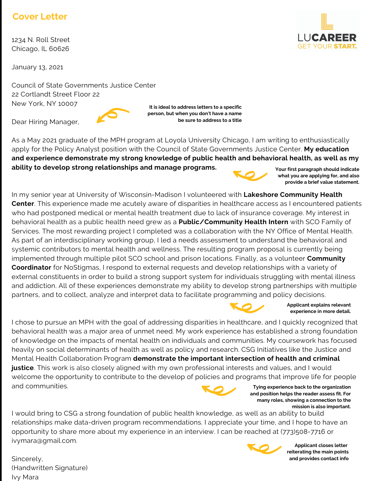### **Cover Letter**

1234 N. Roll Street Chicago, IL 60626

January 13, 2021

Council of State Governments Justice Center 22 Cortlandt Street Floor 22 New York, NY 10007 **It is ideal to address letters to a specific**

Dear Hiring Manager,

As a May 2021 graduate of the MPH program at Loyola University Chicago, I am writing to enthusiastically apply for the Policy Analyst position with the Council of State Governments Justice Center. **My education and experience demonstrate my strong knowledge of public health and behavioral health, as well as my ability to develop strong relationships and manage programs. Your first paragraph should indicate**

**person, but when you don't have a name**

**be sure to address to a title**

In my senior year at University of Wisconsin-Madison I volunteered with **Lakeshore Community Health Center**. This experience made me acutely aware of disparities in healthcare access as I encountered patients who had postponed medical or mental health treatment due to lack of insurance coverage. My interest in behavioral health as a public health need grew as a **Public/Community Health Intern** with SCO Family of Services. The most rewarding project I completed was a collaboration with the NY Office of Mental Health. As part of an interdisciplinary working group, I led a needs assessment to understand the behavioral and systemic contributors to mental health and wellness. The resulting program proposal is currently being implemented through multiple pilot SCO school and prison locations. Finally, as a volunteer **Community Coordinator** for NoStigmas, I respond to external requests and develop relationships with a variety of external constituents in order to build a strong support system for individuals struggling with mental illness and addiction. All of these experiences demonstrate my ability to develop strong partnerships with multiple partners, and to collect, analyze and interpret data to facilitate programming and policy decisions.

I chose to pursue an MPH with the goal of addressing disparities in healthcare, and I quickly recognized that behavioral health was a major area of unmet need. My work experience has established a strong foundation of knowledge on the impacts of mental health on individuals and communities. My coursework has focused heavily on social determinants of health as well as policy and research. CSG Initiatives like the Justice and Mental Health Collaboration Program **demonstrate the important intersection of health and criminal** justice. This work is also closely aligned with my own professional interests and values, and I would welcome the opportunity to contribute to the develop of policies and programs that improve life for people and communities. **Tying experience back to the organization and position helps the reader assess fit. For**

I would bring to CSG a strong foundation of public health knowledge, as well as an ability to build relationships make data-driven program recommendations. I appreciate your time, and I hope to have an opportunity to share more about my experience in an interview. I can be reached at (773)508-7716 or ivymara@gmail.com.

Sincerely, (Handwritten Signature) Ivy Mara







**what you are applying for, and also provide a brief value statement.**



#### **Applicant explains relevant experience in more detail.**

**mission is also important.**

**many roles, showing a connection to the**



**Applicant closes letter reiterating the main points and provides contact info**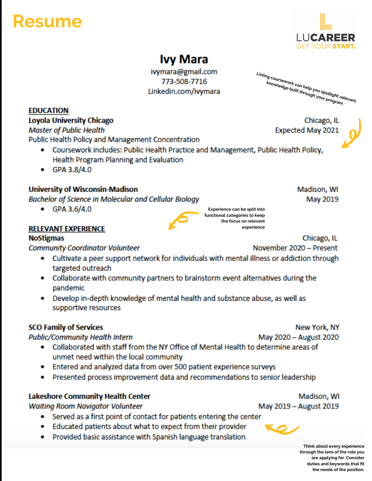# Resume

**EDUCATION** 

Loyola University Chicago

Public Health Policy and Management Concentration

Health Program Planning and Evaluation

**Bachelor of Science in Molecular and Cellular Biology** 

**Master of Public Health** 

 $\bullet$  GPA 3.8/4.0

 $\bullet$  GPA 3.6/4.0

**RELEVANT EXPERIENCE** 

**NoStigmas** 

**University of Wisconsin-Madison** 

**Community Coordinator Volunteer** 



## **Ivy Mara**

ivymara@gmail.com 773-508-7716 Linkedin.com/ivymara Listing coursework can help you spotlight relevant ig coursework can new you spought to:<br>knowledge built through you spought ret<br>program

> Chicago, IL Expected May 2021



Madison, WI May 2019



Experience can be split into functional categories to keep the focus on relevant experience

Chicago, IL

November 2020 - Present

- Cultivate a peer support network for individuals with mental illness or addiction through targeted outreach
- Collaborate with community partners to brainstorm event alternatives during the pandemic
- Develop in-depth knowledge of mental health and substance abuse, as well as supportive resources

### **SCO Family of Services**

**Public/Community Health Intern** 

- Collaborated with staff from the NY Office of Mental Health to determine areas of unmet need within the local community
- Entered and analyzed data from over 500 patient experience surveys
- Presented process improvement data and recommendations to senior leadership  $\bullet$

### **Lakeshore Community Health Center**

**Waiting Room Navigator Volunteer** 

- Served as a first point of contact for patients entering the center
- Educated patients about what to expect from their provider  $\bullet$
- Provided basic assistance with Spanish language translation

New York, NY

May 2020 - August 2020

Madison, WI May 2019 - August 2019



Think about every experience through the lens of the role you are applying for. Consider duties and keywords that fit the needs of the position.